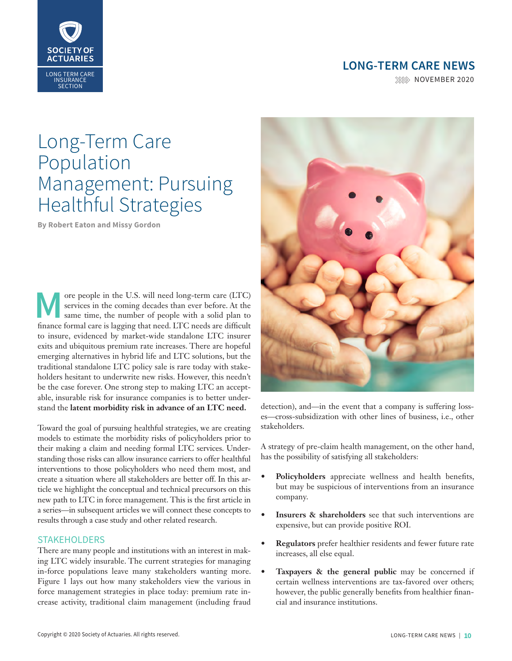

**NOVEMBER 2020** 



# Long-Term Care Population Management: Pursuing Healthful Strategies

**By Robert Eaton and Missy Gordon**

**M** ore people in the U.S. will need long-term care (LTC) services in the coming decades than ever before. At the same time, the number of people with a solid plan to finance formal care is lagging that need. LTC needs are services in the coming decades than ever before. At the same time, the number of people with a solid plan to finance formal care is lagging that need. LTC needs are difficult to insure, evidenced by market-wide standalone LTC insurer exits and ubiquitous premium rate increases. There are hopeful emerging alternatives in hybrid life and LTC solutions, but the traditional standalone LTC policy sale is rare today with stakeholders hesitant to underwrite new risks. However, this needn't be the case forever. One strong step to making LTC an acceptable, insurable risk for insurance companies is to better understand the **latent morbidity risk in advance of an LTC need.**

Toward the goal of pursuing healthful strategies, we are creating models to estimate the morbidity risks of policyholders prior to their making a claim and needing formal LTC services. Understanding those risks can allow insurance carriers to offer healthful interventions to those policyholders who need them most, and create a situation where all stakeholders are better off. In this article we highlight the conceptual and technical precursors on this new path to LTC in force management. This is the first article in a series—in subsequent articles we will connect these concepts to results through a case study and other related research.

## **STAKEHOLDERS**

There are many people and institutions with an interest in making LTC widely insurable. The current strategies for managing in-force populations leave many stakeholders wanting more. Figure 1 lays out how many stakeholders view the various in force management strategies in place today: premium rate increase activity, traditional claim management (including fraud



detection), and—in the event that a company is suffering losses—cross-subsidization with other lines of business, i.e., other stakeholders.

A strategy of pre-claim health management, on the other hand, has the possibility of satisfying all stakeholders:

- **• Policyholders** appreciate wellness and health benefits, but may be suspicious of interventions from an insurance company.
- **• Insurers & shareholders** see that such interventions are expensive, but can provide positive ROI.
- **• Regulators** prefer healthier residents and fewer future rate increases, all else equal.
- **• Taxpayers & the general public** may be concerned if certain wellness interventions are tax-favored over others; however, the public generally benefits from healthier financial and insurance institutions.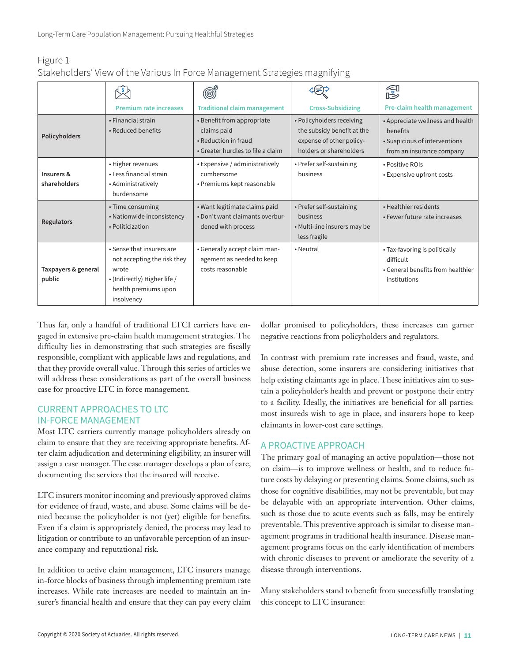| Figure 1                                                                    |  |  |  |  |
|-----------------------------------------------------------------------------|--|--|--|--|
| Stakeholders' View of the Various In Force Management Strategies magnifying |  |  |  |  |

|                               |                                                                                                                                         |                                                                                                        |                                                                                                                | f                                                                                                          |  |  |
|-------------------------------|-----------------------------------------------------------------------------------------------------------------------------------------|--------------------------------------------------------------------------------------------------------|----------------------------------------------------------------------------------------------------------------|------------------------------------------------------------------------------------------------------------|--|--|
|                               | <b>Premium rate increases</b>                                                                                                           | <b>Traditional claim management</b>                                                                    | <b>Cross-Subsidizing</b>                                                                                       | Pre-claim health management                                                                                |  |  |
| Policyholders                 | • Financial strain<br>• Reduced benefits                                                                                                | • Benefit from appropriate<br>claims paid<br>• Reduction in fraud<br>• Greater hurdles to file a claim | • Policyholders receiving<br>the subsidy benefit at the<br>expense of other policy-<br>holders or shareholders | • Appreciate wellness and health<br>benefits<br>• Suspicious of interventions<br>from an insurance company |  |  |
| Insurers &<br>shareholders    | • Higher revenues<br>• Less financial strain<br>• Administratively<br>burdensome                                                        | • Expensive / administratively<br>cumbersome<br>• Premiums kept reasonable                             | • Prefer self-sustaining<br>business                                                                           | • Positive ROIs<br>• Expensive upfront costs                                                               |  |  |
| Regulators                    | • Time consuming<br>• Nationwide inconsistency<br>• Politicization                                                                      | • Want legitimate claims paid<br>. Don't want claimants overbur-<br>dened with process                 | • Prefer self-sustaining<br>business<br>• Multi-line insurers may be<br>less fragile                           | • Healthier residents<br>• Fewer future rate increases                                                     |  |  |
| Taxpayers & general<br>public | • Sense that insurers are<br>not accepting the risk they<br>wrote<br>• (Indirectly) Higher life /<br>health premiums upon<br>insolvency | • Generally accept claim man-<br>agement as needed to keep<br>costs reasonable                         | • Neutral                                                                                                      | • Tax-favoring is politically<br>difficult<br>• General benefits from healthier<br>institutions            |  |  |

Thus far, only a handful of traditional LTCI carriers have engaged in extensive pre-claim health management strategies. The difficulty lies in demonstrating that such strategies are fiscally responsible, compliant with applicable laws and regulations, and that they provide overall value. Through this series of articles we will address these considerations as part of the overall business case for proactive LTC in force management.

## CURRENT APPROACHES TO LTC IN-FORCE MANAGEMENT

Most LTC carriers currently manage policyholders already on claim to ensure that they are receiving appropriate benefits. After claim adjudication and determining eligibility, an insurer will assign a case manager. The case manager develops a plan of care, documenting the services that the insured will receive.

LTC insurers monitor incoming and previously approved claims for evidence of fraud, waste, and abuse. Some claims will be denied because the policyholder is not (yet) eligible for benefits. Even if a claim is appropriately denied, the process may lead to litigation or contribute to an unfavorable perception of an insurance company and reputational risk.

In addition to active claim management, LTC insurers manage in-force blocks of business through implementing premium rate increases. While rate increases are needed to maintain an insurer's financial health and ensure that they can pay every claim

dollar promised to policyholders, these increases can garner negative reactions from policyholders and regulators.

In contrast with premium rate increases and fraud, waste, and abuse detection, some insurers are considering initiatives that help existing claimants age in place. These initiatives aim to sustain a policyholder's health and prevent or postpone their entry to a facility. Ideally, the initiatives are beneficial for all parties: most insureds wish to age in place, and insurers hope to keep claimants in lower-cost care settings.

# A PROACTIVE APPROACH

The primary goal of managing an active population—those not on claim—is to improve wellness or health, and to reduce future costs by delaying or preventing claims. Some claims, such as those for cognitive disabilities, may not be preventable, but may be delayable with an appropriate intervention. Other claims, such as those due to acute events such as falls, may be entirely preventable. This preventive approach is similar to disease management programs in traditional health insurance. Disease management programs focus on the early identification of members with chronic diseases to prevent or ameliorate the severity of a disease through interventions.

Many stakeholders stand to benefit from successfully translating this concept to LTC insurance: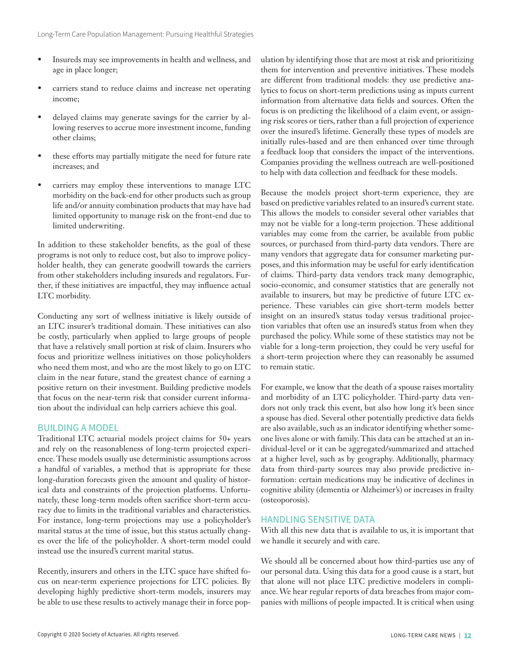- Insureds may see improvements in health and wellness, and age in place longer;
- carriers stand to reduce claims and increase net operating income;
- delayed claims may generate savings for the carrier by allowing reserves to accrue more investment income, funding other claims;
- these efforts may partially mitigate the need for future rate increases; and
- carriers may employ these interventions to manage LTC morbidity on the back-end for other products such as group life and/or annuity combination products that may have had limited opportunity to manage risk on the front-end due to limited underwriting.

In addition to these stakeholder benefits, as the goal of these programs is not only to reduce cost, but also to improve policyholder health, they can generate goodwill towards the carriers from other stakeholders including insureds and regulators. Further, if these initiatives are impactful, they may influence actual LTC morbidity.

Conducting any sort of wellness initiative is likely outside of an LTC insurer's traditional domain. These initiatives can also be costly, particularly when applied to large groups of people that have a relatively small portion at risk of claim. Insurers who focus and prioritize wellness initiatives on those policyholders who need them most, and who are the most likely to go on LTC claim in the near future, stand the greatest chance of earning a positive return on their investment. Building predictive models that focus on the near-term risk that consider current information about the individual can help carriers achieve this goal.

## BUILDING A MODEL

Traditional LTC actuarial models project claims for 50+ years and rely on the reasonableness of long-term projected experience. These models usually use deterministic assumptions across a handful of variables, a method that is appropriate for these long-duration forecasts given the amount and quality of historical data and constraints of the projection platforms. Unfortunately, these long-term models often sacrifice short-term accuracy due to limits in the traditional variables and characteristics. For instance, long-term projections may use a policyholder's marital status at the time of issue, but this status actually changes over the life of the policyholder. A short-term model could instead use the insured's current marital status.

Recently, insurers and others in the LTC space have shifted focus on near-term experience projections for LTC policies. By developing highly predictive short-term models, insurers may be able to use these results to actively manage their in force population by identifying those that are most at risk and prioritizing them for intervention and preventive initiatives. These models are different from traditional models: they use predictive analytics to focus on short-term predictions using as inputs current information from alternative data fields and sources. Often the focus is on predicting the likelihood of a claim event, or assigning risk scores or tiers, rather than a full projection of experience over the insured's lifetime. Generally these types of models are initially rules-based and are then enhanced over time through a feedback loop that considers the impact of the interventions. Companies providing the wellness outreach are well-positioned to help with data collection and feedback for these models.

Because the models project short-term experience, they are based on predictive variables related to an insured's current state. This allows the models to consider several other variables that may not be viable for a long-term projection. These additional variables may come from the carrier, be available from public sources, or purchased from third-party data vendors. There are many vendors that aggregate data for consumer marketing purposes, and this information may be useful for early identification of claims. Third-party data vendors track many demographic, socio-economic, and consumer statistics that are generally not available to insurers, but may be predictive of future LTC experience. These variables can give short-term models better insight on an insured's status today versus traditional projection variables that often use an insured's status from when they purchased the policy. While some of these statistics may not be viable for a long-term projection, they could be very useful for a short-term projection where they can reasonably be assumed to remain static.

For example, we know that the death of a spouse raises mortality and morbidity of an LTC policyholder. Third-party data vendors not only track this event, but also how long it's been since a spouse has died. Several other potentially predictive data fields are also available, such as an indicator identifying whether someone lives alone or with family. This data can be attached at an individual-level or it can be aggregated/summarized and attached at a higher level, such as by geography. Additionally, pharmacy data from third-party sources may also provide predictive information: certain medications may be indicative of declines in cognitive ability (dementia or Alzheimer's) or increases in frailty (osteoporosis).

## HANDLING SENSITIVE DATA

With all this new data that is available to us, it is important that we handle it securely and with care.

We should all be concerned about how third-parties use any of our personal data. Using this data for a good cause is a start, but that alone will not place LTC predictive modelers in compliance. We hear regular reports of data breaches from major companies with millions of people impacted. It is critical when using